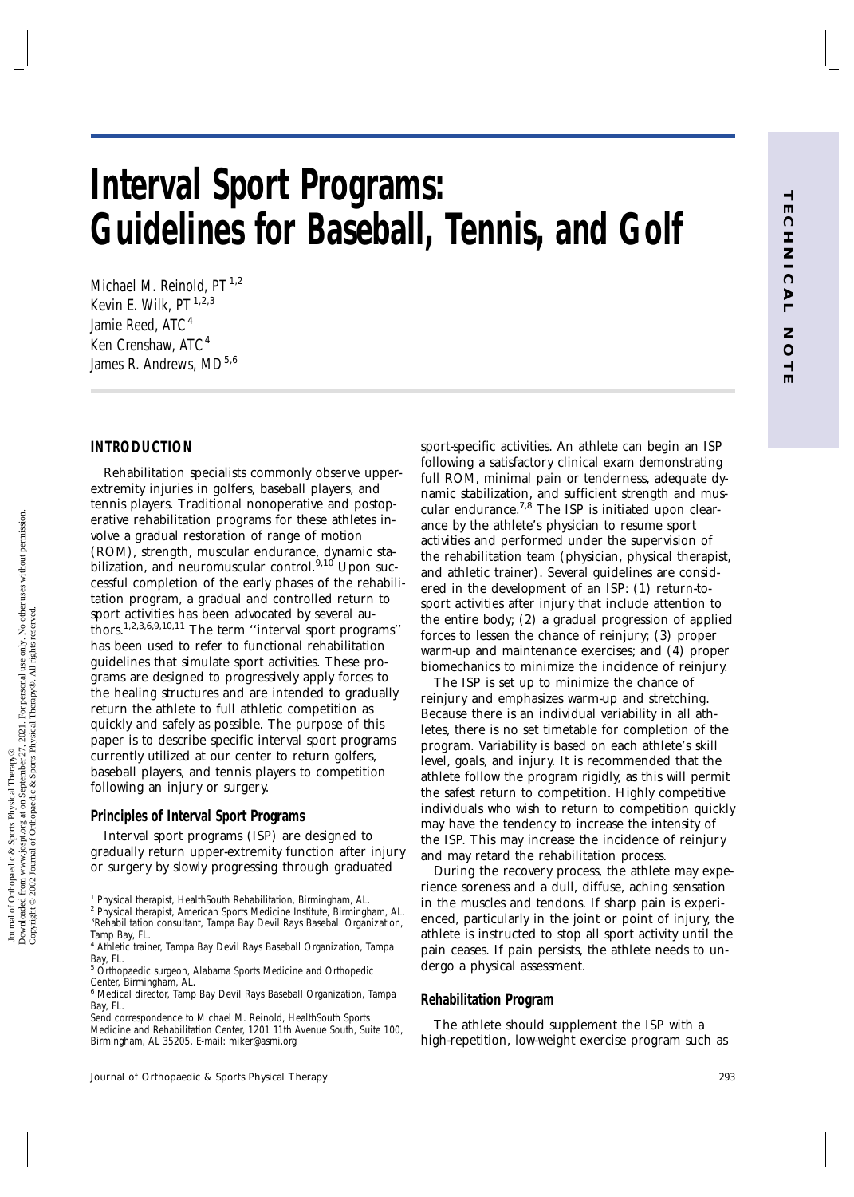# **Interval Sport Programs: Guidelines for Baseball, Tennis, and Golf**

*Michael M. Reinold, PT*<sup>1,2</sup> *Kevin E. Wilk, PT* 1,2,3 *Jamie Reed, ATC*<sup>4</sup> *Ken Crenshaw, ATC*<sup>4</sup> James R. Andrews, MD<sup>5,6</sup>

# **INTRODUCTION**

Rehabilitation specialists commonly observe upperextremity injuries in golfers, baseball players, and tennis players. Traditional nonoperative and postoperative rehabilitation programs for these athletes involve a gradual restoration of range of motion (ROM), strength, muscular endurance, dynamic stabilization, and neuromuscular control.<sup>9,10</sup> Upon successful completion of the early phases of the rehabilitation program, a gradual and controlled return to sport activities has been advocated by several authors.1,2,3,6,9,10,11 The term ''interval sport programs'' has been used to refer to functional rehabilitation guidelines that simulate sport activities. These programs are designed to progressively apply forces to the healing structures and are intended to gradually return the athlete to full athletic competition as quickly and safely as possible. The purpose of this paper is to describe specific interval sport programs currently utilized at our center to return golfers, baseball players, and tennis players to competition following an injury or surgery.

#### **Principles of Interval Sport Programs**

Interval sport programs (ISP) are designed to gradually return upper-extremity function after injury or surgery by slowly progressing through graduated

Journal of Orthopaedic & Sports Physical Therapy 293

sport-specific activities. An athlete can begin an ISP following a satisfactory clinical exam demonstrating full ROM, minimal pain or tenderness, adequate dynamic stabilization, and sufficient strength and muscular endurance.<sup>7,8</sup> The ISP is initiated upon clearance by the athlete's physician to resume sport activities and performed under the supervision of the rehabilitation team (physician, physical therapist, and athletic trainer). Several guidelines are considered in the development of an ISP: (1) return-tosport activities after injury that include attention to the entire body; (2) a gradual progression of applied forces to lessen the chance of reinjury; (3) proper warm-up and maintenance exercises; and (4) proper biomechanics to minimize the incidence of reinjury.

The ISP is set up to minimize the chance of reinjury and emphasizes warm-up and stretching. Because there is an individual variability in all athletes, there is no set timetable for completion of the program. Variability is based on each athlete's skill level, goals, and injury. It is recommended that the athlete follow the program rigidly, as this will permit the safest return to competition. Highly competitive individuals who wish to return to competition quickly may have the tendency to increase the intensity of the ISP. This may increase the incidence of reinjury and may retard the rehabilitation process.

During the recovery process, the athlete may experience soreness and a dull, diffuse, aching sensation in the muscles and tendons. If sharp pain is experienced, particularly in the joint or point of injury, the athlete is instructed to stop all sport activity until the pain ceases. If pain persists, the athlete needs to undergo a physical assessment.

#### **Rehabilitation Program**

The athlete should supplement the ISP with a high-repetition, low-weight exercise program such as

*<sup>1</sup> Physical therapist, HealthSouth Rehabilitation, Birmingham, AL.*

*<sup>2</sup> Physical therapist, American Sports Medicine Institute, Birmingham, AL. 3 Rehabilitation consultant, Tampa Bay Devil Rays Baseball Organization, Tamp Bay, FL.*

*<sup>4</sup> Athletic trainer, Tampa Bay Devil Rays Baseball Organization, Tampa Bay, FL.*

*<sup>5</sup> Orthopaedic surgeon, Alabama Sports Medicine and Orthopedic Center, Birmingham, AL.*

*<sup>6</sup> Medical director, Tamp Bay Devil Rays Baseball Organization, Tampa Bay, FL.*

*Send correspondence to Michael M. Reinold, HealthSouth Sports Medicine and Rehabilitation Center, 1201 11th Avenue South, Suite 100, Birmingham, AL 35205. E-mail: miker@asmi.org*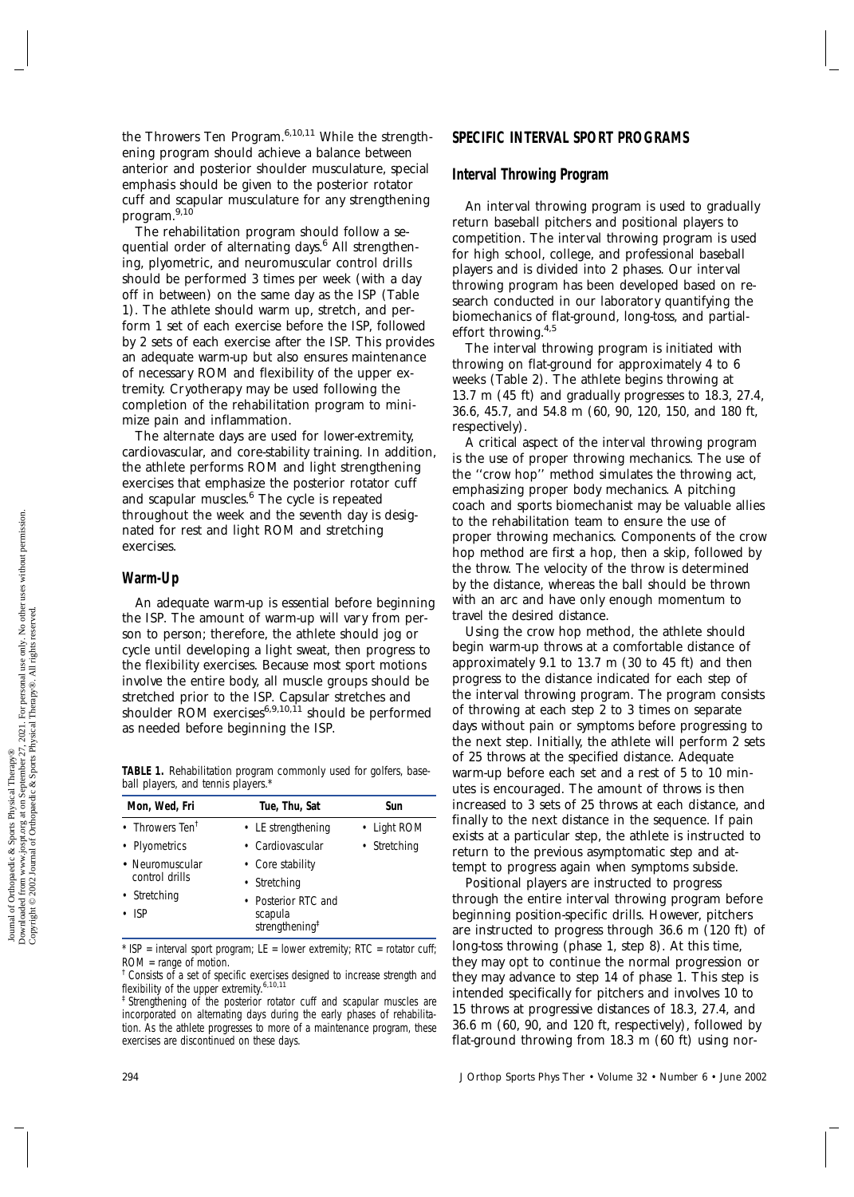the Throwers Ten Program. $6,10,11$  While the strengthening program should achieve a balance between anterior and posterior shoulder musculature, special emphasis should be given to the posterior rotator cuff and scapular musculature for any strengthening program.9,10

The rehabilitation program should follow a sequential order of alternating days.<sup>6</sup> All strengthening, plyometric, and neuromuscular control drills should be performed 3 times per week (with a day off in between) on the same day as the ISP (Table 1). The athlete should warm up, stretch, and perform 1 set of each exercise before the ISP, followed by 2 sets of each exercise after the ISP. This provides an adequate warm-up but also ensures maintenance of necessary ROM and flexibility of the upper extremity. Cryotherapy may be used following the completion of the rehabilitation program to minimize pain and inflammation.

The alternate days are used for lower-extremity, cardiovascular, and core-stability training. In addition, the athlete performs ROM and light strengthening exercises that emphasize the posterior rotator cuff and scapular muscles.<sup>6</sup> The cycle is repeated throughout the week and the seventh day is designated for rest and light ROM and stretching exercises.

#### **Warm-Up**

An adequate warm-up is essential before beginning the ISP. The amount of warm-up will vary from person to person; therefore, the athlete should jog or cycle until developing a light sweat, then progress to the flexibility exercises. Because most sport motions involve the entire body, all muscle groups should be stretched prior to the ISP. Capsular stretches and shoulder ROM exercises $6,9,10,11$  should be performed as needed before beginning the ISP.

**TABLE 1.** Rehabilitation program commonly used for golfers, baseball players, and tennis players.\*

| Mon, Wed, Fri               | Tue, Thu, Sat                         | Sun          |
|-----------------------------|---------------------------------------|--------------|
| • Throwers Ten <sup>t</sup> | • LE strengthening                    | • Light ROM  |
| • Plyometrics               | • Cardiovascular                      | • Stretching |
| • Neuromuscular             | • Core stability                      |              |
| control drills              | • Stretching                          |              |
| • Stretching                | • Posterior RTC and                   |              |
| $\cdot$ ISP                 | scapula<br>strengthening <sup>#</sup> |              |

\*  $ISP =$  interval sport program; LE = lower extremity; RTC = rotator cuff; ROM = range of motion.

† Consists of a set of specific exercises designed to increase strength and flexibility of the upper extremity.6,10,11

<sup>‡</sup> Strengthening of the posterior rotator cuff and scapular muscles are incorporated on alternating days during the early phases of rehabilitation. As the athlete progresses to more of a maintenance program, these exercises are discontinued on these days.

## **SPECIFIC INTERVAL SPORT PROGRAMS**

#### **Interval Throwing Program**

An interval throwing program is used to gradually return baseball pitchers and positional players to competition. The interval throwing program is used for high school, college, and professional baseball players and is divided into 2 phases. Our interval throwing program has been developed based on research conducted in our laboratory quantifying the biomechanics of flat-ground, long-toss, and partialeffort throwing. $4,5$ 

The interval throwing program is initiated with throwing on flat-ground for approximately 4 to 6 weeks (Table 2). The athlete begins throwing at 13.7 m (45 ft) and gradually progresses to 18.3, 27.4, 36.6, 45.7, and 54.8 m (60, 90, 120, 150, and 180 ft, respectively).

A critical aspect of the interval throwing program is the use of proper throwing mechanics. The use of the ''crow hop'' method simulates the throwing act, emphasizing proper body mechanics. A pitching coach and sports biomechanist may be valuable allies to the rehabilitation team to ensure the use of proper throwing mechanics. Components of the crow hop method are first a hop, then a skip, followed by the throw. The velocity of the throw is determined by the distance, whereas the ball should be thrown with an arc and have only enough momentum to travel the desired distance.

Using the crow hop method, the athlete should begin warm-up throws at a comfortable distance of approximately 9.1 to 13.7 m (30 to 45 ft) and then progress to the distance indicated for each step of the interval throwing program. The program consists of throwing at each step 2 to 3 times on separate days without pain or symptoms before progressing to the next step. Initially, the athlete will perform 2 sets of 25 throws at the specified distance. Adequate warm-up before each set and a rest of 5 to 10 minutes is encouraged. The amount of throws is then increased to 3 sets of 25 throws at each distance, and finally to the next distance in the sequence. If pain exists at a particular step, the athlete is instructed to return to the previous asymptomatic step and attempt to progress again when symptoms subside.

Positional players are instructed to progress through the entire interval throwing program before beginning position-specific drills. However, pitchers are instructed to progress through 36.6 m (120 ft) of long-toss throwing (phase 1, step 8). At this time, they may opt to continue the normal progression or they may advance to step 14 of phase 1. This step is intended specifically for pitchers and involves 10 to 15 throws at progressive distances of 18.3, 27.4, and 36.6 m (60, 90, and 120 ft, respectively), followed by flat-ground throwing from 18.3 m (60 ft) using nor-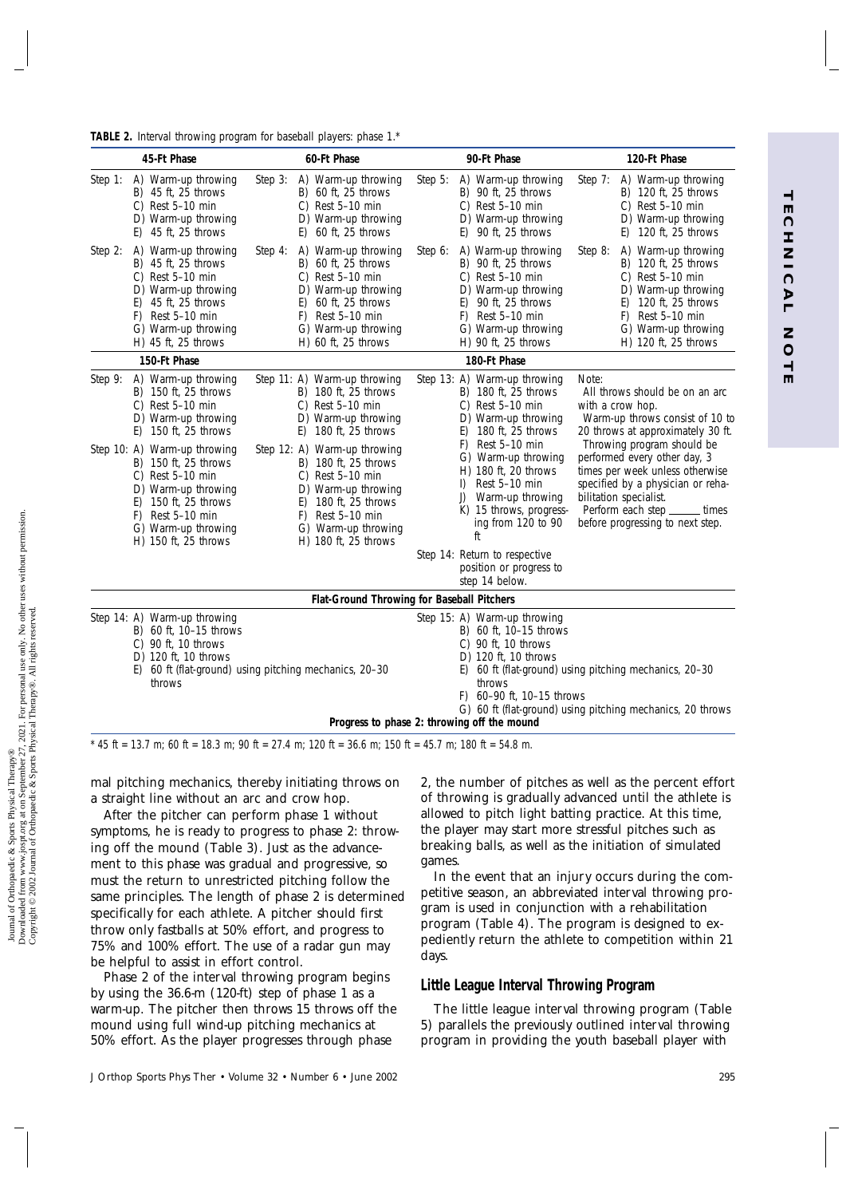| 45-Ft Phase                                                                                                                                                                                                                                                                                                                     | 60-Ft Phase                                                                                                                                                                                                                                                                                                                    | 90-Ft Phase                                                                                                                                                                                                                                                                                                                                                                                 | 120-Ft Phase                                                                                                                                                                                                                                                                                                                                                               |
|---------------------------------------------------------------------------------------------------------------------------------------------------------------------------------------------------------------------------------------------------------------------------------------------------------------------------------|--------------------------------------------------------------------------------------------------------------------------------------------------------------------------------------------------------------------------------------------------------------------------------------------------------------------------------|---------------------------------------------------------------------------------------------------------------------------------------------------------------------------------------------------------------------------------------------------------------------------------------------------------------------------------------------------------------------------------------------|----------------------------------------------------------------------------------------------------------------------------------------------------------------------------------------------------------------------------------------------------------------------------------------------------------------------------------------------------------------------------|
| Step 1:<br>A) Warm-up throwing<br>B) 45 ft, 25 throws<br>C) Rest 5-10 min<br>D) Warm-up throwing<br>45 ft, 25 throws<br>E)                                                                                                                                                                                                      | Step 3: A) Warm-up throwing<br>B) 60 ft, 25 throws<br>C) Rest $5-10$ min<br>D) Warm-up throwing<br>E) 60 ft, 25 throws                                                                                                                                                                                                         | Step 5: A) Warm-up throwing<br>B) 90 ft, 25 throws<br>C) Rest 5-10 min<br>D) Warm-up throwing<br>E) 90 ft, 25 throws                                                                                                                                                                                                                                                                        | Step 7: A) Warm-up throwing<br>B) 120 ft, 25 throws<br>C) Rest 5-10 min<br>D) Warm-up throwing<br>E) 120 ft, 25 throws                                                                                                                                                                                                                                                     |
| Step 2:<br>A) Warm-up throwing<br>B) 45 ft, 25 throws<br>C) Rest 5-10 min<br>D) Warm-up throwing<br>45 ft, 25 throws<br>E)<br>Rest 5-10 min<br>F)<br>G) Warm-up throwing<br>H) 45 ft, 25 throws                                                                                                                                 | A) Warm-up throwing<br>Step $4$ :<br>B) 60 ft, 25 throws<br>C) Rest 5-10 min<br>D) Warm-up throwing<br>$E)$ 60 ft, 25 throws<br>$F)$ Rest 5-10 min<br>G) Warm-up throwing<br>H) 60 ft, 25 throws                                                                                                                               | A) Warm-up throwing<br>Step $6:$<br>B) 90 ft, 25 throws<br>Rest 5-10 min<br>C)<br>D) Warm-up throwing<br>$E)$ 90 ft, 25 throws<br>Rest 5-10 min<br>F)<br>G) Warm-up throwing<br>H) 90 ft, 25 throws                                                                                                                                                                                         | Step 8: A) Warm-up throwing<br>B) 120 ft, 25 throws<br>C) Rest 5-10 min<br>D) Warm-up throwing<br>E) 120 ft, 25 throws<br>$F)$ Rest 5-10 min<br>G) Warm-up throwing<br>H) 120 ft, 25 throws                                                                                                                                                                                |
| 150-Ft Phase                                                                                                                                                                                                                                                                                                                    |                                                                                                                                                                                                                                                                                                                                | 180-Ft Phase                                                                                                                                                                                                                                                                                                                                                                                |                                                                                                                                                                                                                                                                                                                                                                            |
| Step 9:<br>A) Warm-up throwing<br>B) 150 ft, 25 throws<br>C) Rest 5-10 min<br>D) Warm-up throwing<br>150 ft, 25 throws<br>E)<br>Step 10: A) Warm-up throwing<br>B) 150 ft, 25 throws<br>C) Rest 5-10 min<br>D) Warm-up throwing<br>E)<br>150 ft, 25 throws<br>$F)$ Rest 5-10 min<br>G) Warm-up throwing<br>H) 150 ft, 25 throws | Step 11: A) Warm-up throwing<br>B) 180 ft, 25 throws<br>C) Rest $5-10$ min<br>D) Warm-up throwing<br>180 ft, 25 throws<br>E)<br>Step 12: A) Warm-up throwing<br>B) 180 ft, 25 throws<br>$C)$ Rest 5-10 min<br>D) Warm-up throwing<br>E) 180 ft, 25 throws<br>$F)$ Rest 5-10 min<br>G) Warm-up throwing<br>H) 180 ft, 25 throws | Step 13: A) Warm-up throwing<br>B) 180 ft, 25 throws<br>C) Rest $5-10$ min<br>D) Warm-up throwing<br>180 ft, 25 throws<br>E)<br>$F)$ Rest 5-10 min<br>G) Warm-up throwing<br>H) 180 ft, 20 throws<br>Rest 5-10 min<br>$\vert$ )<br>J) Warm-up throwing<br>K) 15 throws, progress-<br>ing from 120 to 90<br>ft<br>Step 14: Return to respective<br>position or progress to<br>step 14 below. | Note:<br>All throws should be on an arc<br>with a crow hop.<br>Warm-up throws consist of 10 to<br>20 throws at approximately 30 ft.<br>Throwing program should be<br>performed every other day, 3<br>times per week unless otherwise<br>specified by a physician or reha-<br>bilitation specialist.<br>Perform each step _______ times<br>before progressing to next step. |
|                                                                                                                                                                                                                                                                                                                                 |                                                                                                                                                                                                                                                                                                                                | Flat-Ground Throwing for Baseball Pitchers                                                                                                                                                                                                                                                                                                                                                  |                                                                                                                                                                                                                                                                                                                                                                            |
| Step 14: A) Warm-up throwing<br>B) 60 ft, 10-15 throws<br>C) 90 ft, 10 throws<br>D) 120 ft, 10 throws<br>throws                                                                                                                                                                                                                 | E) 60 ft (flat-ground) using pitching mechanics, 20-30                                                                                                                                                                                                                                                                         | Step 15: A) Warm-up throwing<br>B) 60 ft, 10-15 throws<br>C) 90 ft, 10 throws<br>D) 120 ft, 10 throws<br>throws<br>60-90 ft, 10-15 throws<br>F)<br>Progress to phase 2: throwing off the mound                                                                                                                                                                                              | E) 60 ft (flat-ground) using pitching mechanics, 20-30<br>G) 60 ft (flat-ground) using pitching mechanics, 20 throws                                                                                                                                                                                                                                                       |
|                                                                                                                                                                                                                                                                                                                                 |                                                                                                                                                                                                                                                                                                                                |                                                                                                                                                                                                                                                                                                                                                                                             |                                                                                                                                                                                                                                                                                                                                                                            |

**TABLE 2.** Interval throwing program for baseball players: phase 1.\*

 $*$  45 ft = 13.7 m; 60 ft = 18.3 m; 90 ft = 27.4 m; 120 ft = 36.6 m; 150 ft = 45.7 m; 180 ft = 54.8 m.

mal pitching mechanics, thereby initiating throws on a straight line without an arc and crow hop.

After the pitcher can perform phase 1 without symptoms, he is ready to progress to phase 2: throwing off the mound (Table 3). Just as the advancement to this phase was gradual and progressive, so must the return to unrestricted pitching follow the same principles. The length of phase 2 is determined specifically for each athlete. A pitcher should first throw only fastballs at 50% effort, and progress to 75% and 100% effort. The use of a radar gun may be helpful to assist in effort control.

Phase 2 of the interval throwing program begins by using the 36.6-m (120-ft) step of phase 1 as a warm-up. The pitcher then throws 15 throws off the mound using full wind-up pitching mechanics at 50% effort. As the player progresses through phase

2, the number of pitches as well as the percent effort of throwing is gradually advanced until the athlete is allowed to pitch light batting practice. At this time, the player may start more stressful pitches such as breaking balls, as well as the initiation of simulated games.

In the event that an injury occurs during the competitive season, an abbreviated interval throwing program is used in conjunction with a rehabilitation program (Table 4). The program is designed to expediently return the athlete to competition within 21 days.

# **Little League Interval Throwing Program**

The little league interval throwing program (Table 5) parallels the previously outlined interval throwing program in providing the youth baseball player with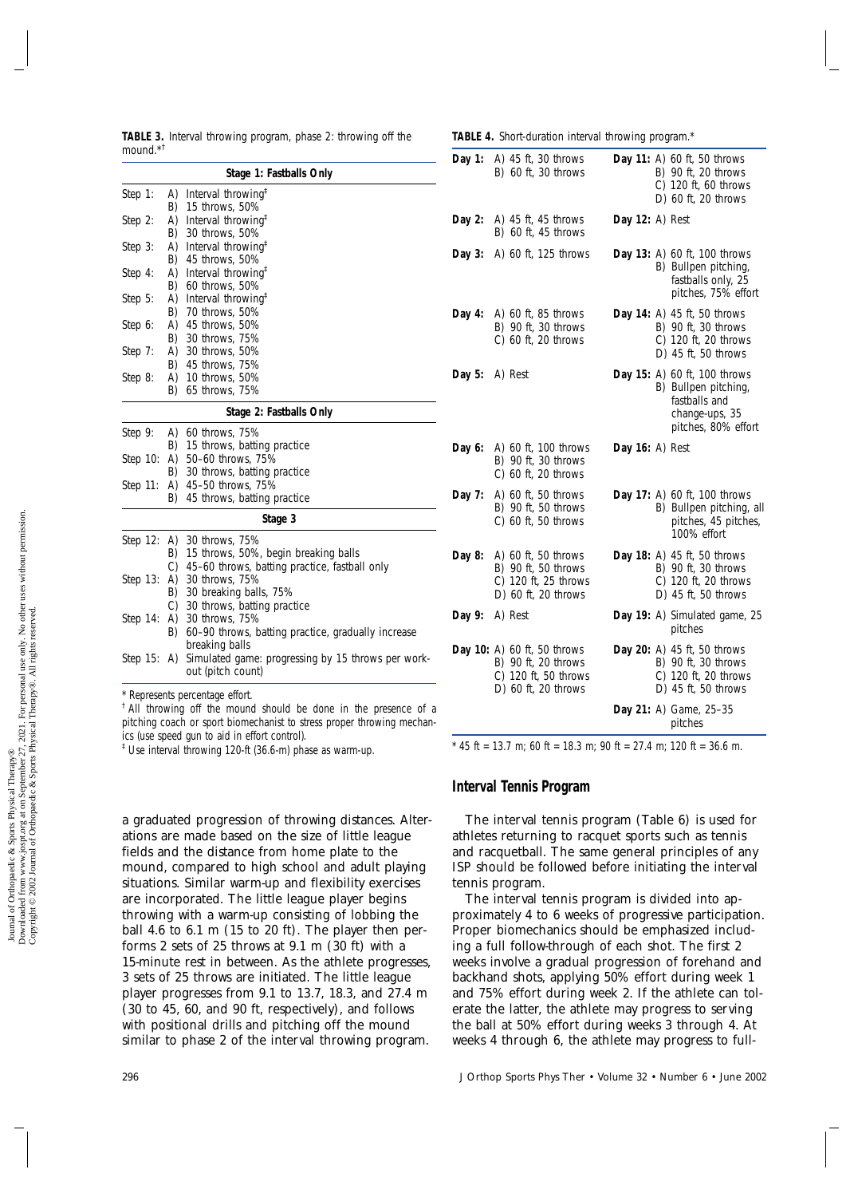| iliuuliu.   |                     |                                                                         |
|-------------|---------------------|-------------------------------------------------------------------------|
|             |                     | Stage 1: Fastballs Only                                                 |
| Step $1$ :  | A)                  | Interval throwing <sup>#</sup>                                          |
|             | B)                  | 15 throws, 50%                                                          |
| Step 2:     | A)                  | Interval throwing <sup>#</sup>                                          |
|             | B)                  | 30 throws, 50%                                                          |
| Step 3:     | A)                  | Interval throwing <sup>1</sup>                                          |
|             | B)                  | 45 throws, 50%                                                          |
| Step $4:$   | A)                  | Interval throwing <sup>1</sup>                                          |
|             | B)                  | 60 throws, 50%                                                          |
| Step 5:     | A)                  | Interval throwing <sup>#</sup>                                          |
|             | B)                  | 70 throws, 50%                                                          |
| Step 6:     | A)                  | 45 throws, 50%                                                          |
|             | B)                  | 30 throws, 75%                                                          |
| Step $7:$   | A)                  | 30 throws, 50%                                                          |
|             | B)                  | 45 throws, 75%                                                          |
| Step 8:     | A)                  | 10 throws, 50%                                                          |
|             | B)                  | 65 throws, 75%                                                          |
|             |                     | Stage 2: Fastballs Only                                                 |
|             |                     | 60 throws, 75%                                                          |
|             |                     | 15 throws, batting practice                                             |
|             |                     | 50-60 throws, 75%                                                       |
|             | B)                  | 30 throws, batting practice                                             |
| Step $11$ : | A)                  | 45-50 throws, 75%                                                       |
|             | B)                  | 45 throws, batting practice                                             |
|             |                     | Stage 3                                                                 |
| Step $12$ : |                     | 30 throws, 75%                                                          |
|             | B)                  | 15 throws, 50%, begin breaking balls                                    |
|             | C)                  | 45-60 throws, batting practice, fastball only                           |
| Step 13:    | A)                  | 30 throws, 75%                                                          |
|             | B)                  | 30 breaking balls, 75%                                                  |
|             | C)                  | 30 throws, batting practice                                             |
| Step $14$ : | A)                  | 30 throws, 75%                                                          |
|             |                     |                                                                         |
|             | B)                  | 60–90 throws, batting practice, gradually increase                      |
|             |                     | breaking balls                                                          |
| Step $15$ : | A)                  | Simulated game: progressing by 15 throws per work-<br>out (pitch count) |
|             | Step 9:<br>Step 10: | A)<br>B)<br>A)<br>A)                                                    |

**TABLE 3.** Interval throwing program, phase 2: throwing off the mound.\*†

\* Represents percentage effort.

† All throwing off the mound should be done in the presence of a pitching coach or sport biomechanist to stress proper throwing mechanics (use speed gun to aid in effort control).

‡ Use interval throwing 120-ft (36.6-m) phase as warm-up.

a graduated progression of throwing distances. Alterations are made based on the size of little league fields and the distance from home plate to the mound, compared to high school and adult playing situations. Similar warm-up and flexibility exercises are incorporated. The little league player begins throwing with a warm-up consisting of lobbing the ball 4.6 to 6.1 m (15 to 20 ft). The player then performs 2 sets of 25 throws at 9.1 m (30 ft) with a 15-minute rest in between. As the athlete progresses, 3 sets of 25 throws are initiated. The little league player progresses from 9.1 to 13.7, 18.3, and 27.4 m (30 to 45, 60, and 90 ft, respectively), and follows with positional drills and pitching off the mound similar to phase 2 of the interval throwing program.

**TABLE 4.** Short-duration interval throwing program.\*

| Day 1:         | A) 45 ft, 30 throws<br>B) 60 ft, 30 throws                                                        |                    | Day 11: A) 60 ft, 50 throws<br>B) 90 ft, 20 throws<br>C) 120 ft, 60 throws<br>D) 60 ft, 20 throws              |
|----------------|---------------------------------------------------------------------------------------------------|--------------------|----------------------------------------------------------------------------------------------------------------|
| Day 2:         | A) 45 ft, 45 throws<br>B) 60 ft, 45 throws                                                        | Day 12: A) Rest    |                                                                                                                |
|                | <b>Day 3:</b> A) 60 ft, 125 throws                                                                |                    | Day 13: A) 60 ft, 100 throws<br>B) Bullpen pitching,<br>fastballs only, 25<br>pitches, 75% effort              |
| Day 4:         | A) 60 ft, 85 throws<br>B) 90 ft, 30 throws<br>C) 60 ft, 20 throws                                 |                    | Day 14: A) 45 ft, 50 throws<br>B) 90 ft, 30 throws<br>C) 120 ft, 20 throws<br>D) 45 ft, 50 throws              |
| Day 5: A) Rest |                                                                                                   |                    | Day 15: A) 60 ft, 100 throws<br>B) Bullpen pitching,<br>fastballs and<br>change-ups, 35<br>pitches, 80% effort |
| Day 6:         | A) 60 ft, 100 throws<br>B) 90 ft, 30 throws<br>C) 60 ft, 20 throws                                | Day $16: A$ ) Rest |                                                                                                                |
| Day 7:         | A) 60 ft, 50 throws<br>B) 90 ft, 50 throws<br>C) 60 ft, 50 throws                                 |                    | Day 17: A) 60 ft, 100 throws<br>B) Bullpen pitching, all<br>pitches, 45 pitches,<br>100% effort                |
| Day 8:         | A) 60 ft, 50 throws<br>B) 90 ft, 50 throws<br>C) 120 ft, 25 throws<br>D) 60 ft, 20 throws         |                    | Day 18: A) 45 ft, 50 throws<br>B) 90 ft, 30 throws<br>C) 120 ft, 20 throws<br>D) 45 ft, 50 throws              |
| Day 9:         | A) Rest                                                                                           |                    | Day 19: A) Simulated game, 25<br>pitches                                                                       |
|                | Day 10: A) 60 ft, 50 throws<br>B) 90 ft, 20 throws<br>C) 120 ft, 50 throws<br>D) 60 ft, 20 throws |                    | Day 20: A) 45 ft, 50 throws<br>B) 90 ft, 30 throws<br>C) 120 ft, 20 throws<br>D) 45 ft, 50 throws              |
|                |                                                                                                   |                    | Day 21: A) Game, 25-35<br>pitches                                                                              |

 $*$  45 ft = 13.7 m; 60 ft = 18.3 m; 90 ft = 27.4 m; 120 ft = 36.6 m.

## **Interval Tennis Program**

The interval tennis program (Table 6) is used for athletes returning to racquet sports such as tennis and racquetball. The same general principles of any ISP should be followed before initiating the interval tennis program.

The interval tennis program is divided into approximately 4 to 6 weeks of progressive participation. Proper biomechanics should be emphasized including a full follow-through of each shot. The first 2 weeks involve a gradual progression of forehand and backhand shots, applying 50% effort during week 1 and 75% effort during week 2. If the athlete can tolerate the latter, the athlete may progress to serving the ball at 50% effort during weeks 3 through 4. At weeks 4 through 6, the athlete may progress to full-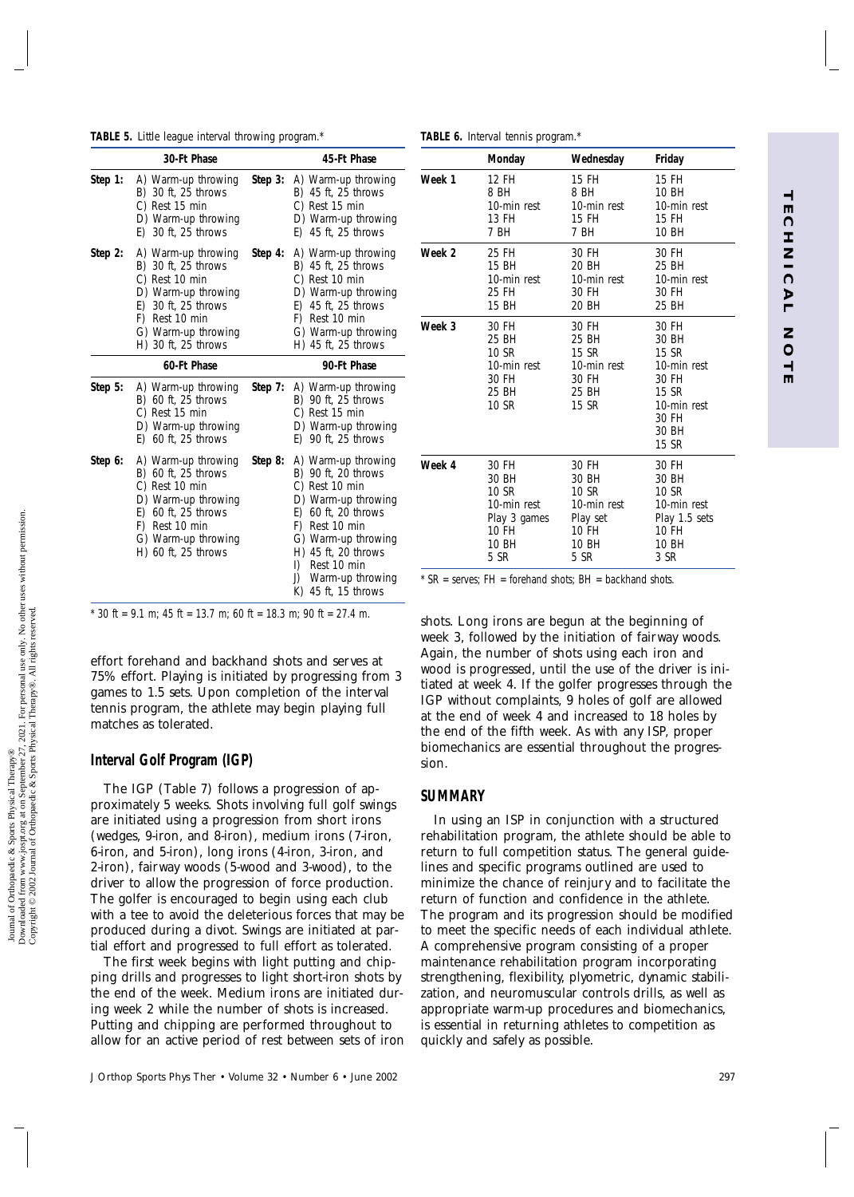|  |  | TABLE 5. Little league interval throwing program.* |
|--|--|----------------------------------------------------|
|  |  |                                                    |

|           | 30-Ft Phase                                                                                                                                                                |           | 45-Ft Phase                                                                                                                                                                                                                                                  |
|-----------|----------------------------------------------------------------------------------------------------------------------------------------------------------------------------|-----------|--------------------------------------------------------------------------------------------------------------------------------------------------------------------------------------------------------------------------------------------------------------|
| Step 1:   | A) Warm-up throwing<br>B) 30 ft, 25 throws<br>C) Rest 15 min<br>D) Warm-up throwing<br>30 ft, 25 throws<br>E)                                                              | Step $3:$ | A) Warm-up throwing<br>B) 45 ft, 25 throws<br>C) Rest 15 min<br>D) Warm-up throwing<br>45 ft, 25 throws<br>E)                                                                                                                                                |
| Step $2:$ | A) Warm-up throwing<br>B) 30 ft, 25 throws<br>C) Rest 10 min<br>D) Warm-up throwing<br>E) 30 ft, 25 throws<br>F) Rest 10 min<br>G) Warm-up throwing<br>H) 30 ft, 25 throws | Step 4:   | A) Warm-up throwing<br>B) 45 ft, 25 throws<br>C) Rest 10 min<br>D) Warm-up throwing<br>45 ft, 25 throws<br>E)<br>F) Rest 10 min<br>G) Warm-up throwing<br>H) 45 ft, 25 throws                                                                                |
|           | 60-Ft Phase                                                                                                                                                                |           | 90-Ft Phase                                                                                                                                                                                                                                                  |
| Step 5:   | A) Warm-up throwing<br>B) 60 ft, 25 throws<br>C) Rest 15 min<br>D) Warm-up throwing<br>$E)$ 60 ft, 25 throws                                                               | Step $7:$ | A) Warm-up throwing<br>B) 90 ft, 25 throws<br>C) Rest 15 min<br>D) Warm-up throwing<br>$E)$ 90 ft, 25 throws                                                                                                                                                 |
| Step 6:   | A) Warm-up throwing<br>B) 60 ft, 25 throws<br>C) Rest 10 min<br>D) Warm-up throwing<br>E) 60 ft, 25 throws<br>F) Rest 10 min<br>G) Warm-up throwing<br>H) 60 ft, 25 throws | Step 8:   | A) Warm-up throwing<br>B) 90 ft, 20 throws<br>C) Rest 10 min<br>D) Warm-up throwing<br>E) 60 ft, 20 throws<br>F) Rest 10 min<br>G) Warm-up throwing<br>H) 45 ft, 20 throws<br>Rest 10 min<br>$\mathsf{D}$<br>Warm-up throwing<br>J<br>45 ft, 15 throws<br>K) |

|        | Monday                                                            | Wednesday                                                         | Friday                                                                                             |
|--------|-------------------------------------------------------------------|-------------------------------------------------------------------|----------------------------------------------------------------------------------------------------|
| Week 1 | 12 FH                                                             | 15 FH                                                             | 15 FH                                                                                              |
|        | 8 BH                                                              | 8 BH                                                              | 10 BH                                                                                              |
|        | 10-min rest                                                       | 10-min rest                                                       | 10-min rest                                                                                        |
|        | 13 FH                                                             | 15 FH                                                             | 15 FH                                                                                              |
|        | 7 BH                                                              | 7 BH                                                              | 10 BH                                                                                              |
| Week 2 | 25 FH                                                             | 30 FH                                                             | 30 FH                                                                                              |
|        | 15 BH                                                             | 20 BH                                                             | 25 BH                                                                                              |
|        | 10-min rest                                                       | 10-min rest                                                       | 10-min rest                                                                                        |
|        | 25 FH                                                             | 30 FH                                                             | 30 FH                                                                                              |
|        | 15 BH                                                             | 20 BH                                                             | 25 BH                                                                                              |
| Week 3 | 30 FH<br>25 BH<br>10 SR<br>10-min rest<br>30 FH<br>25 BH<br>10 SR | 30 FH<br>25 BH<br>15 SR<br>10-min rest<br>30 FH<br>25 BH<br>15 SR | 30 FH<br>30 BH<br>15 SR<br>10-min rest<br>30 FH<br>15 SR<br>10-min rest<br>30 FH<br>30 BH<br>15 SR |
| Week 4 | 30 FH                                                             | 30 FH                                                             | 30 FH                                                                                              |
|        | 30 BH                                                             | 30 BH                                                             | 30 BH                                                                                              |
|        | 10 SR                                                             | 10 SR                                                             | 10 SR                                                                                              |
|        | 10-min rest                                                       | 10-min rest                                                       | 10-min rest                                                                                        |
|        | Play 3 games                                                      | Play set                                                          | Play 1.5 sets                                                                                      |
|        | 10 FH                                                             | 10 FH                                                             | 10 FH                                                                                              |
|        | 10 BH                                                             | 10 BH                                                             | 10 BH                                                                                              |
|        | 5 SR                                                              | 5 SR                                                              | 3 SR                                                                                               |

 $*$  30 ft = 9.1 m; 45 ft = 13.7 m; 60 ft = 18.3 m; 90 ft = 27.4 m.

effort forehand and backhand shots and serves at 75% effort. Playing is initiated by progressing from 3 games to 1.5 sets. Upon completion of the interval tennis program, the athlete may begin playing full matches as tolerated.

# **Interval Golf Program (IGP)**

The IGP (Table 7) follows a progression of approximately 5 weeks. Shots involving full golf swings are initiated using a progression from short irons (wedges, 9-iron, and 8-iron), medium irons (7-iron, 6-iron, and 5-iron), long irons (4-iron, 3-iron, and 2-iron), fairway woods (5-wood and 3-wood), to the driver to allow the progression of force production. The golfer is encouraged to begin using each club with a tee to avoid the deleterious forces that may be produced during a divot. Swings are initiated at partial effort and progressed to full effort as tolerated.

The first week begins with light putting and chipping drills and progresses to light short-iron shots by the end of the week. Medium irons are initiated during week 2 while the number of shots is increased. Putting and chipping are performed throughout to allow for an active period of rest between sets of iron **TABLE 6.** Interval tennis program.\*

shots. Long irons are begun at the beginning of week 3, followed by the initiation of fairway woods. Again, the number of shots using each iron and wood is progressed, until the use of the driver is initiated at week 4. If the golfer progresses through the IGP without complaints, 9 holes of golf are allowed at the end of week 4 and increased to 18 holes by the end of the fifth week. As with any ISP, proper biomechanics are essential throughout the progression.

 $*$  SR = serves; FH = forehand shots; BH = backhand shots.

# **SUMMARY**

In using an ISP in conjunction with a structured rehabilitation program, the athlete should be able to return to full competition status. The general guidelines and specific programs outlined are used to minimize the chance of reinjury and to facilitate the return of function and confidence in the athlete. The program and its progression should be modified to meet the specific needs of each individual athlete. A comprehensive program consisting of a proper maintenance rehabilitation program incorporating strengthening, flexibility, plyometric, dynamic stabilization, and neuromuscular controls drills, as well as appropriate warm-up procedures and biomechanics, is essential in returning athletes to competition as quickly and safely as possible.

Journal of Orthopaedic & Sports Physical Therapy®